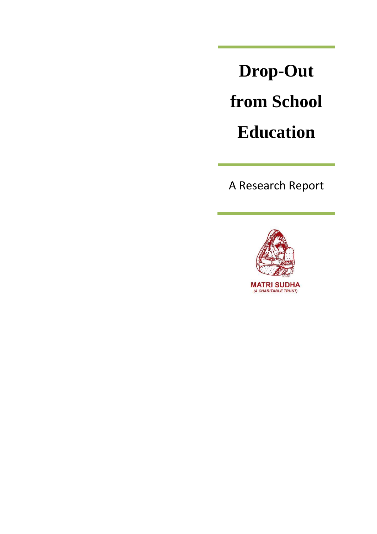**Drop-Out** 

**from School** 

# **Education**

A Research Report

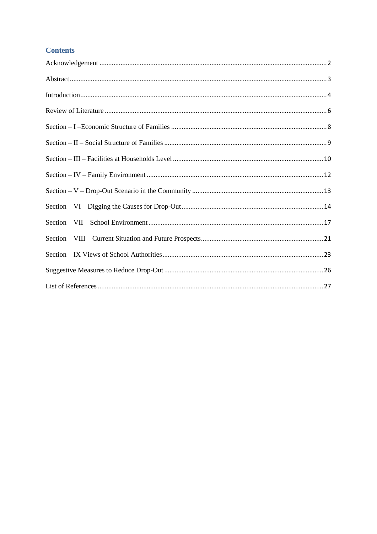# **Contents**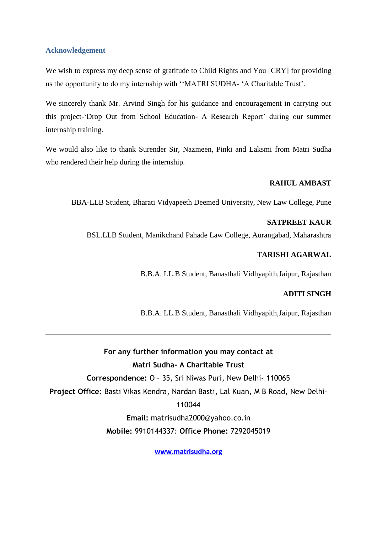## <span id="page-2-0"></span>**Acknowledgement**

We wish to express my deep sense of gratitude to Child Rights and You [CRY] for providing us the opportunity to do my internship with ""MATRI SUDHA- "A Charitable Trust".

We sincerely thank Mr. Arvind Singh for his guidance and encouragement in carrying out this project-'Drop Out from School Education- A Research Report' during our summer internship training.

We would also like to thank Surender Sir, Nazmeen, Pinki and Laksmi from Matri Sudha who rendered their help during the internship.

## **RAHUL AMBAST**

BBA-LLB Student, Bharati Vidyapeeth Deemed University, New Law College, Pune

## **SATPREET KAUR**

BSL.LLB Student, Manikchand Pahade Law College, Aurangabad, Maharashtra

# **TARISHI AGARWAL**

B.B.A. LL.B Student, Banasthali Vidhyapith,Jaipur, Rajasthan

# **ADITI SINGH**

B.B.A. LL.B Student, Banasthali Vidhyapith,Jaipur, Rajasthan

**For any further information you may contact at Matri Sudha- A Charitable Trust Correspondence:** O – 35, Sri Niwas Puri, New Delhi- 110065 **Project Office:** Basti Vikas Kendra, Nardan Basti, Lal Kuan, M B Road, New Delhi-110044 **Email:** matrisudha2000@yahoo.co.in **Mobile:** 9910144337: **Office Phone:** 7292045019

**[www.matrisudha.org](http://www.matrisudha.org/)**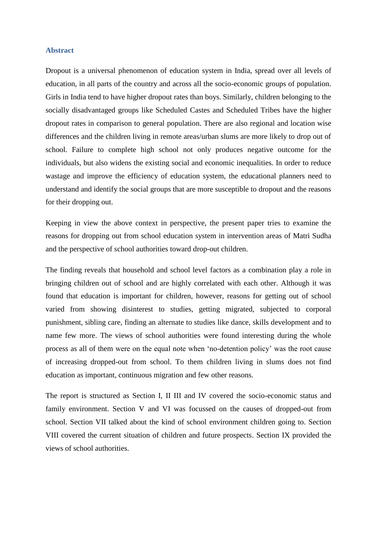#### <span id="page-3-0"></span>**Abstract**

Dropout is a universal phenomenon of education system in India, spread over all levels of education, in all parts of the country and across all the socio-economic groups of population. Girls in India tend to have higher dropout rates than boys. Similarly, children belonging to the socially disadvantaged groups like Scheduled Castes and Scheduled Tribes have the higher dropout rates in comparison to general population. There are also regional and location wise differences and the children living in remote areas/urban slums are more likely to drop out of school. Failure to complete high school not only produces negative outcome for the individuals, but also widens the existing social and economic inequalities. In order to reduce wastage and improve the efficiency of education system, the educational planners need to understand and identify the social groups that are more susceptible to dropout and the reasons for their dropping out.

Keeping in view the above context in perspective, the present paper tries to examine the reasons for dropping out from school education system in intervention areas of Matri Sudha and the perspective of school authorities toward drop-out children.

The finding reveals that household and school level factors as a combination play a role in bringing children out of school and are highly correlated with each other. Although it was found that education is important for children, however, reasons for getting out of school varied from showing disinterest to studies, getting migrated, subjected to corporal punishment, sibling care, finding an alternate to studies like dance, skills development and to name few more. The views of school authorities were found interesting during the whole process as all of them were on the equal note when "no-detention policy" was the root cause of increasing dropped-out from school. To them children living in slums does not find education as important, continuous migration and few other reasons.

The report is structured as Section I, II III and IV covered the socio-economic status and family environment. Section V and VI was focussed on the causes of dropped-out from school. Section VII talked about the kind of school environment children going to. Section VIII covered the current situation of children and future prospects. Section IX provided the views of school authorities.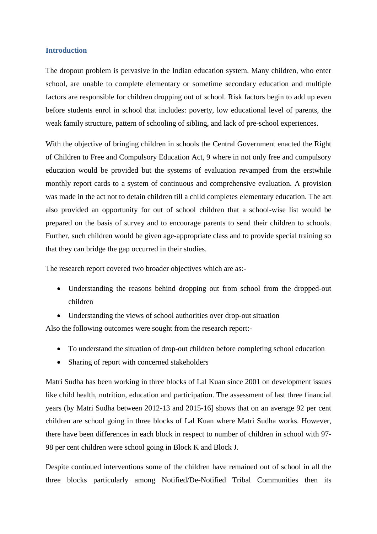## <span id="page-4-0"></span>**Introduction**

The dropout problem is pervasive in the Indian education system. Many children, who enter school, are unable to complete elementary or sometime secondary education and multiple factors are responsible for children dropping out of school. Risk factors begin to add up even before students enrol in school that includes: poverty, low educational level of parents, the weak family structure, pattern of schooling of sibling, and lack of pre-school experiences.

With the objective of bringing children in schools the Central Government enacted the Right of Children to Free and Compulsory Education Act, 9 where in not only free and compulsory education would be provided but the systems of evaluation revamped from the erstwhile monthly report cards to a system of continuous and comprehensive evaluation. A provision was made in the act not to detain children till a child completes elementary education. The act also provided an opportunity for out of school children that a school-wise list would be prepared on the basis of survey and to encourage parents to send their children to schools. Further, such children would be given age-appropriate class and to provide special training so that they can bridge the gap occurred in their studies.

The research report covered two broader objectives which are as:-

- Understanding the reasons behind dropping out from school from the dropped-out children
- Understanding the views of school authorities over drop-out situation

Also the following outcomes were sought from the research report:-

- To understand the situation of drop-out children before completing school education
- Sharing of report with concerned stakeholders

Matri Sudha has been working in three blocks of Lal Kuan since 2001 on development issues like child health, nutrition, education and participation. The assessment of last three financial years (by Matri Sudha between 2012-13 and 2015-16] shows that on an average 92 per cent children are school going in three blocks of Lal Kuan where Matri Sudha works. However, there have been differences in each block in respect to number of children in school with 97- 98 per cent children were school going in Block K and Block J.

Despite continued interventions some of the children have remained out of school in all the three blocks particularly among Notified/De-Notified Tribal Communities then its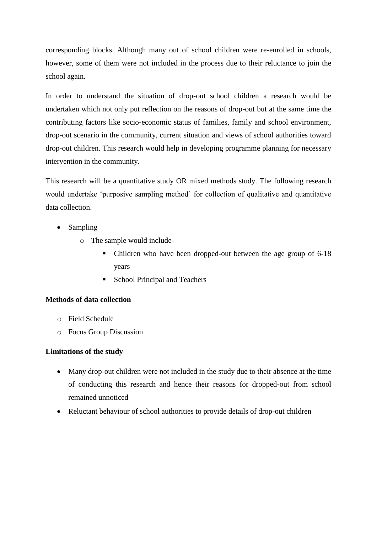corresponding blocks. Although many out of school children were re-enrolled in schools, however, some of them were not included in the process due to their reluctance to join the school again.

In order to understand the situation of drop-out school children a research would be undertaken which not only put reflection on the reasons of drop-out but at the same time the contributing factors like socio-economic status of families, family and school environment, drop-out scenario in the community, current situation and views of school authorities toward drop-out children. This research would help in developing programme planning for necessary intervention in the community.

This research will be a quantitative study OR mixed methods study. The following research would undertake 'purposive sampling method' for collection of qualitative and quantitative data collection.

- Sampling
	- o The sample would include-
		- Children who have been dropped-out between the age group of 6-18 years
		- **School Principal and Teachers**

## **Methods of data collection**

- o Field Schedule
- o Focus Group Discussion

## **Limitations of the study**

- Many drop-out children were not included in the study due to their absence at the time of conducting this research and hence their reasons for dropped-out from school remained unnoticed
- Reluctant behaviour of school authorities to provide details of drop-out children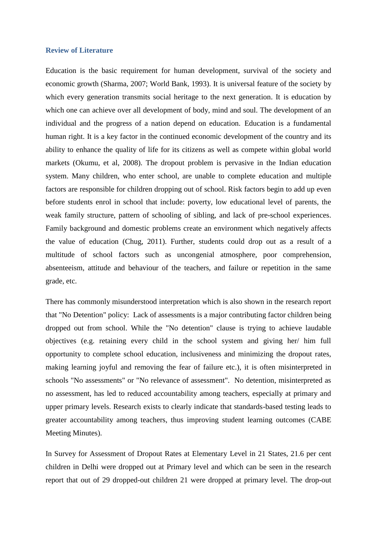#### <span id="page-6-0"></span>**Review of Literature**

Education is the basic requirement for human development, survival of the society and economic growth (Sharma, 2007; World Bank, 1993). It is universal feature of the society by which every generation transmits social heritage to the next generation. It is education by which one can achieve over all development of body, mind and soul. The development of an individual and the progress of a nation depend on education. Education is a fundamental human right. It is a key factor in the continued economic development of the country and its ability to enhance the quality of life for its citizens as well as compete within global world markets (Okumu, et al, 2008). The dropout problem is pervasive in the Indian education system. Many children, who enter school, are unable to complete education and multiple factors are responsible for children dropping out of school. Risk factors begin to add up even before students enrol in school that include: poverty, low educational level of parents, the weak family structure, pattern of schooling of sibling, and lack of pre-school experiences. Family background and domestic problems create an environment which negatively affects the value of education (Chug, 2011). Further, students could drop out as a result of a multitude of school factors such as uncongenial atmosphere, poor comprehension, absenteeism, attitude and behaviour of the teachers, and failure or repetition in the same grade, etc.

There has commonly misunderstood interpretation which is also shown in the research report that "No Detention" policy: Lack of assessments is a major contributing factor children being dropped out from school. While the "No detention" clause is trying to achieve laudable objectives (e.g. retaining every child in the school system and giving her/ him full opportunity to complete school education, inclusiveness and minimizing the dropout rates, making learning joyful and removing the fear of failure etc.), it is often misinterpreted in schools "No assessments" or "No relevance of assessment". No detention, misinterpreted as no assessment, has led to reduced accountability among teachers, especially at primary and upper primary levels. Research exists to clearly indicate that standards-based testing leads to greater accountability among teachers, thus improving student learning outcomes (CABE Meeting Minutes).

In Survey for Assessment of Dropout Rates at Elementary Level in 21 States, 21.6 per cent children in Delhi were dropped out at Primary level and which can be seen in the research report that out of 29 dropped-out children 21 were dropped at primary level. The drop-out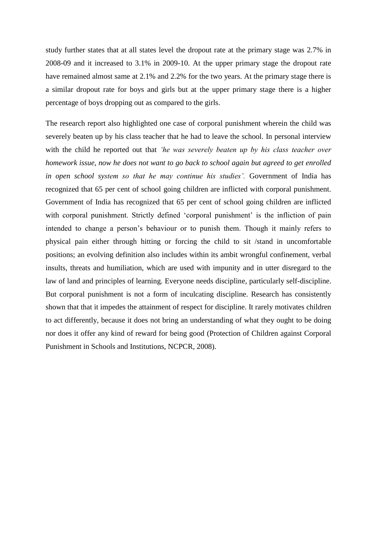study further states that at all states level the dropout rate at the primary stage was 2.7% in 2008-09 and it increased to 3.1% in 2009-10. At the upper primary stage the dropout rate have remained almost same at 2.1% and 2.2% for the two years. At the primary stage there is a similar dropout rate for boys and girls but at the upper primary stage there is a higher percentage of boys dropping out as compared to the girls.

The research report also highlighted one case of corporal punishment wherein the child was severely beaten up by his class teacher that he had to leave the school. In personal interview with the child he reported out that *'he was severely beaten up by his class teacher over homework issue, now he does not want to go back to school again but agreed to get enrolled in open school system so that he may continue his studies'.* Government of India has recognized that 65 per cent of school going children are inflicted with corporal punishment. Government of India has recognized that 65 per cent of school going children are inflicted with corporal punishment. Strictly defined 'corporal punishment' is the infliction of pain intended to change a person"s behaviour or to punish them. Though it mainly refers to physical pain either through hitting or forcing the child to sit /stand in uncomfortable positions; an evolving definition also includes within its ambit wrongful confinement, verbal insults, threats and humiliation, which are used with impunity and in utter disregard to the law of land and principles of learning. Everyone needs discipline, particularly self-discipline. But corporal punishment is not a form of inculcating discipline. Research has consistently shown that that it impedes the attainment of respect for discipline. It rarely motivates children to act differently, because it does not bring an understanding of what they ought to be doing nor does it offer any kind of reward for being good (Protection of Children against Corporal Punishment in Schools and Institutions, NCPCR, 2008).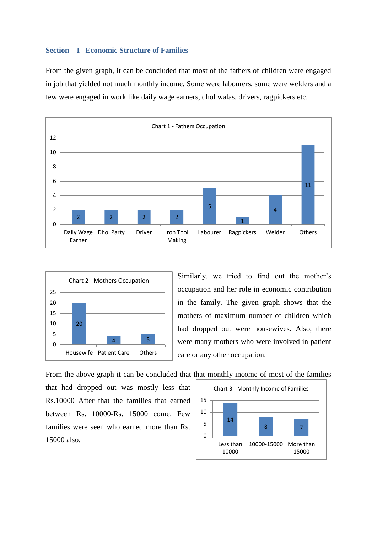#### <span id="page-8-0"></span>**Section – I –Economic Structure of Families**

From the given graph, it can be concluded that most of the fathers of children were engaged in job that yielded not much monthly income. Some were labourers, some were welders and a few were engaged in work like daily wage earners, dhol walas, drivers, ragpickers etc.





Similarly, we tried to find out the mother's occupation and her role in economic contribution in the family. The given graph shows that the mothers of maximum number of children which had dropped out were housewives. Also, there were many mothers who were involved in patient care or any other occupation.

From the above graph it can be concluded that that monthly income of most of the families

that had dropped out was mostly less that Rs.10000 After that the families that earned between Rs. 10000-Rs. 15000 come. Few families were seen who earned more than Rs. 15000 also.

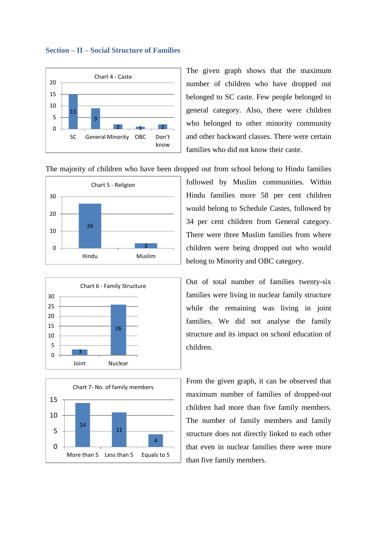

#### <span id="page-9-0"></span>**Section – II – Social Structure of Families**

The given graph shows that the maximum number of children who have dropped out belonged to SC caste. Few people belonged to general category. Also, there were children who belonged to other minority community and other backward classes. There were certain families who did not know their caste.

The majority of children who have been dropped out from school belong to Hindu families







followed by Muslim communities. Within Hindu families more 58 per cent children would belong to Schedule Castes, followed by 34 per cent children from General category. There were three Muslim families from where children were being dropped out who would belong to Minority and OBC category.

Out of total number of families twenty-six families were living in nuclear family structure while the remaining was living in joint families. We did not analyse the family structure and its impact on school education of children.

From the given graph, it can be observed that maximum number of families of dropped-out children had more than five family members. The number of family members and family structure does not directly linked to each other that even in nuclear families there were more than five family members.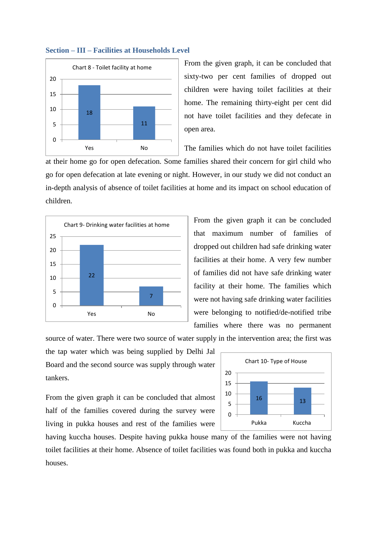

#### <span id="page-10-0"></span>**Section – III – Facilities at Households Level**

From the given graph, it can be concluded that sixty-two per cent families of dropped out children were having toilet facilities at their home. The remaining thirty-eight per cent did not have toilet facilities and they defecate in open area.

The families which do not have toilet facilities

at their home go for open defecation. Some families shared their concern for girl child who go for open defecation at late evening or night. However, in our study we did not conduct an in-depth analysis of absence of toilet facilities at home and its impact on school education of children.



From the given graph it can be concluded that maximum number of families of dropped out children had safe drinking water facilities at their home. A very few number of families did not have safe drinking water facility at their home. The families which were not having safe drinking water facilities were belonging to notified/de-notified tribe families where there was no permanent

source of water. There were two source of water supply in the intervention area; the first was

the tap water which was being supplied by Delhi Jal Board and the second source was supply through water tankers.

From the given graph it can be concluded that almost half of the families covered during the survey were living in pukka houses and rest of the families were



having kuccha houses. Despite having pukka house many of the families were not having toilet facilities at their home. Absence of toilet facilities was found both in pukka and kuccha houses.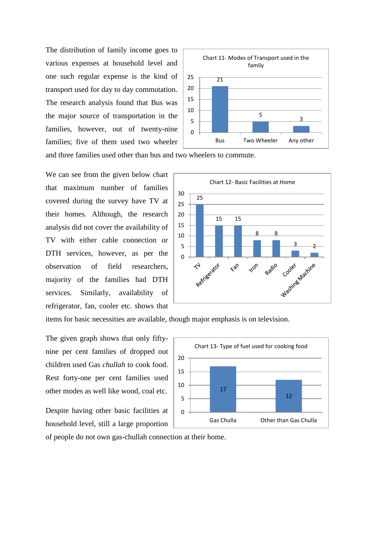The distribution of family income goes to various expenses at household level and one such regular expense is the kind of transport used for day to day commutation. The research analysis found that Bus was the major source of transportation in the families, however, out of twenty-nine families; five of them used two wheeler



and three families used other than bus and two wheelers to commute.

We can see from the given below chart that maximum number of families covered during the survey have TV at their homes. Although, the research analysis did not cover the availability of TV with either cable connection or DTH services, however, as per the observation of field researchers, majority of the families had DTH services. Similarly, availability of refrigerator, fan, cooler etc. shows that



items for basic necessities are available, though major emphasis is on television.

The given graph shows that only fiftynine per cent families of dropped out children used Gas *chullah* to cook food. Rest forty-one per cent families used other modes as well like wood, coal etc.

Despite having other basic facilities at household level, still a large proportion



of people do not own gas-chullah connection at their home.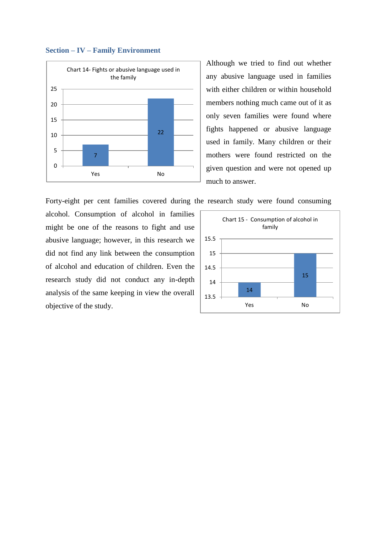<span id="page-12-0"></span>



Although we tried to find out whether any abusive language used in families with either children or within household members nothing much came out of it as only seven families were found where fights happened or abusive language used in family. Many children or their mothers were found restricted on the given question and were not opened up much to answer.

Forty-eight per cent families covered during the research study were found consuming

alcohol. Consumption of alcohol in families might be one of the reasons to fight and use abusive language; however, in this research we did not find any link between the consumption of alcohol and education of children. Even the research study did not conduct any in-depth analysis of the same keeping in view the overall objective of the study.

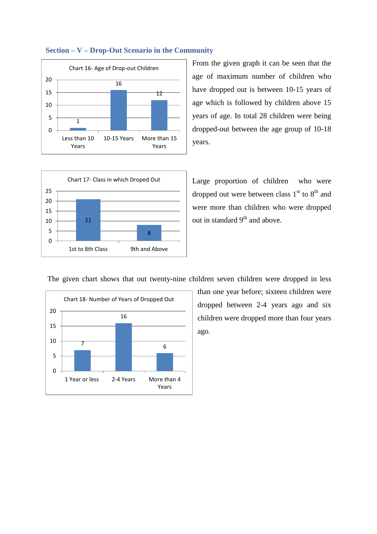

## <span id="page-13-0"></span>**Section – V – Drop-Out Scenario in the Community**

From the given graph it can be seen that the age of maximum number of children who have dropped out is between 10-15 years of age which is followed by children above 15 years of age. In total 28 children were being dropped-out between the age group of 10-18 years.



Large proportion of children who were dropped out were between class  $1<sup>st</sup>$  to  $8<sup>th</sup>$  and were more than children who were dropped out in standard 9<sup>th</sup> and above.

The given chart shows that out twenty-nine children seven children were dropped in less



than one year before; sixteen children were dropped between 2-4 years ago and six children were dropped more than four years ago.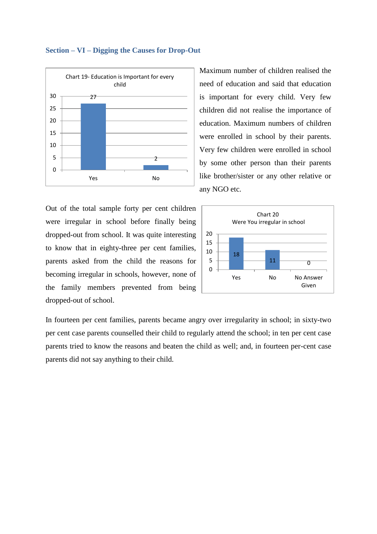

#### <span id="page-14-0"></span>**Section – VI – Digging the Causes for Drop-Out**

need of education and said that education is important for every child. Very few children did not realise the importance of education. Maximum numbers of children were enrolled in school by their parents. Very few children were enrolled in school by some other person than their parents like brother/sister or any other relative or any NGO etc.

Maximum number of children realised the

Out of the total sample forty per cent children were irregular in school before finally being dropped-out from school. It was quite interesting to know that in eighty-three per cent families, parents asked from the child the reasons for becoming irregular in schools, however, none of the family members prevented from being dropped-out of school.



In fourteen per cent families, parents became angry over irregularity in school; in sixty-two per cent case parents counselled their child to regularly attend the school; in ten per cent case parents tried to know the reasons and beaten the child as well; and, in fourteen per-cent case parents did not say anything to their child.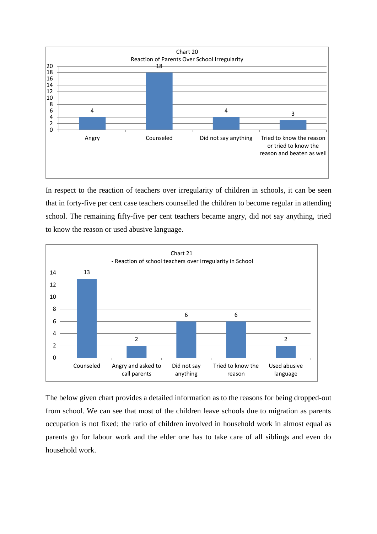

In respect to the reaction of teachers over irregularity of children in schools, it can be seen that in forty-five per cent case teachers counselled the children to become regular in attending school. The remaining fifty-five per cent teachers became angry, did not say anything, tried to know the reason or used abusive language.



The below given chart provides a detailed information as to the reasons for being dropped-out from school. We can see that most of the children leave schools due to migration as parents occupation is not fixed; the ratio of children involved in household work in almost equal as parents go for labour work and the elder one has to take care of all siblings and even do household work.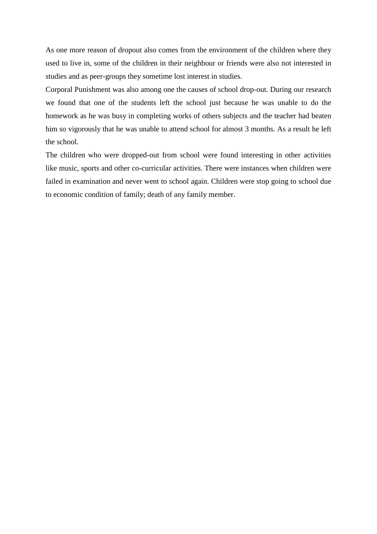As one more reason of dropout also comes from the environment of the children where they used to live in, some of the children in their neighbour or friends were also not interested in studies and as peer-groups they sometime lost interest in studies.

Corporal Punishment was also among one the causes of school drop-out. During our research we found that one of the students left the school just because he was unable to do the homework as he was busy in completing works of others subjects and the teacher had beaten him so vigorously that he was unable to attend school for almost 3 months. As a result he left the school.

The children who were dropped-out from school were found interesting in other activities like music, sports and other co-curricular activities. There were instances when children were failed in examination and never went to school again. Children were stop going to school due to economic condition of family; death of any family member.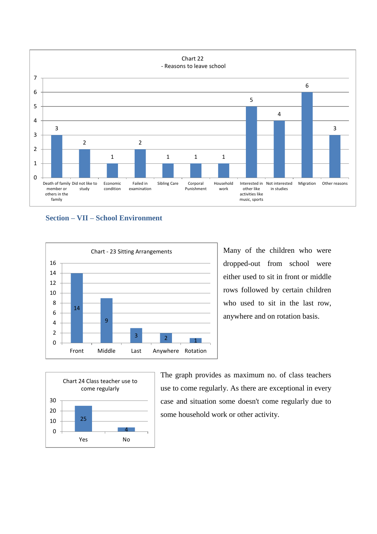

<span id="page-17-0"></span>**Section – VII – School Environment**



Many of the children who were dropped-out from school were either used to sit in front or middle rows followed by certain children who used to sit in the last row, anywhere and on rotation basis.



The graph provides as maximum no. of class teachers use to come regularly. As there are exceptional in every case and situation some doesn't come regularly due to some household work or other activity.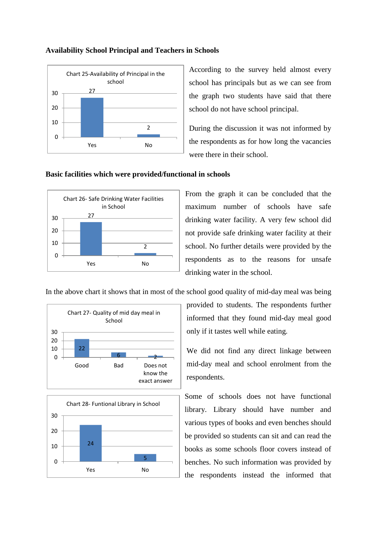



According to the survey held almost every school has principals but as we can see from the graph two students have said that there school do not have school principal.

During the discussion it was not informed by the respondents as for how long the vacancies were there in their school.

#### **Basic facilities which were provided/functional in schools**



From the graph it can be concluded that the maximum number of schools have safe drinking water facility. A very few school did not provide safe drinking water facility at their school. No further details were provided by the respondents as to the reasons for unsafe drinking water in the school.

In the above chart it shows that in most of the school good quality of mid-day meal was being





provided to students. The respondents further informed that they found mid-day meal good only if it tastes well while eating.

We did not find any direct linkage between mid-day meal and school enrolment from the respondents.

Some of schools does not have functional library. Library should have number and various types of books and even benches should be provided so students can sit and can read the books as some schools floor covers instead of benches. No such information was provided by the respondents instead the informed that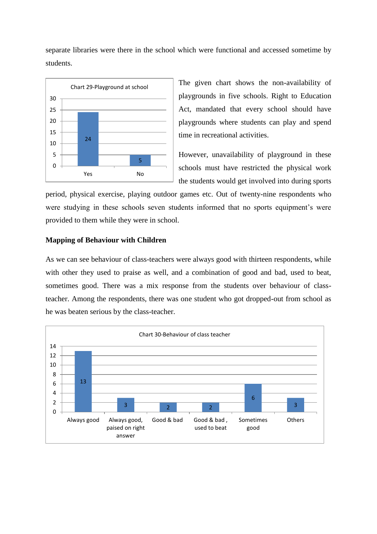separate libraries were there in the school which were functional and accessed sometime by students.



The given chart shows the non-availability of playgrounds in five schools. Right to Education Act, mandated that every school should have playgrounds where students can play and spend time in recreational activities.

However, unavailability of playground in these schools must have restricted the physical work the students would get involved into during sports

period, physical exercise, playing outdoor games etc. Out of twenty-nine respondents who were studying in these schools seven students informed that no sports equipment's were provided to them while they were in school.

#### **Mapping of Behaviour with Children**

As we can see behaviour of class-teachers were always good with thirteen respondents, while with other they used to praise as well, and a combination of good and bad, used to beat, sometimes good. There was a mix response from the students over behaviour of classteacher. Among the respondents, there was one student who got dropped-out from school as he was beaten serious by the class-teacher.

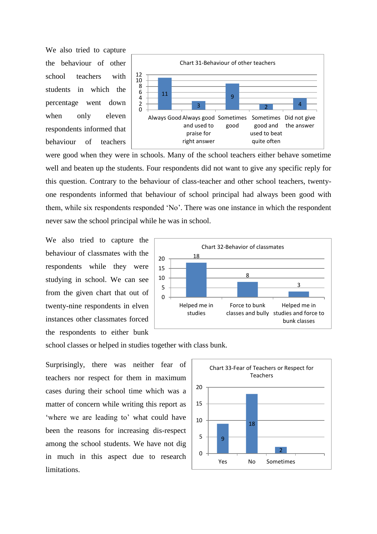We also tried to capture the behaviour of other school teachers with students in which the percentage went down when only eleven respondents informed that behaviour of teachers



were good when they were in schools. Many of the school teachers either behave sometime well and beaten up the students. Four respondents did not want to give any specific reply for this question. Contrary to the behaviour of class-teacher and other school teachers, twentyone respondents informed that behaviour of school principal had always been good with them, while six respondents responded "No". There was one instance in which the respondent never saw the school principal while he was in school.

We also tried to capture the behaviour of classmates with the respondents while they were studying in school. We can see from the given chart that out of twenty-nine respondents in elven instances other classmates forced the respondents to either bunk



school classes or helped in studies together with class bunk.

Surprisingly, there was neither fear of teachers nor respect for them in maximum cases during their school time which was a matter of concern while writing this report as 'where we are leading to' what could have been the reasons for increasing dis-respect among the school students. We have not dig in much in this aspect due to research limitations.

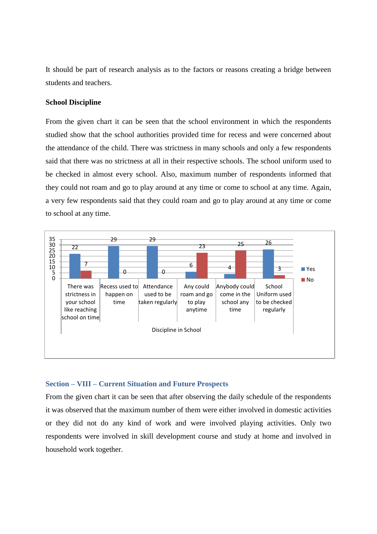It should be part of research analysis as to the factors or reasons creating a bridge between students and teachers.

## **School Discipline**

From the given chart it can be seen that the school environment in which the respondents studied show that the school authorities provided time for recess and were concerned about the attendance of the child. There was strictness in many schools and only a few respondents said that there was no strictness at all in their respective schools. The school uniform used to be checked in almost every school. Also, maximum number of respondents informed that they could not roam and go to play around at any time or come to school at any time. Again, a very few respondents said that they could roam and go to play around at any time or come to school at any time.



#### <span id="page-21-0"></span>**Section – VIII – Current Situation and Future Prospects**

From the given chart it can be seen that after observing the daily schedule of the respondents it was observed that the maximum number of them were either involved in domestic activities or they did not do any kind of work and were involved playing activities. Only two respondents were involved in skill development course and study at home and involved in household work together.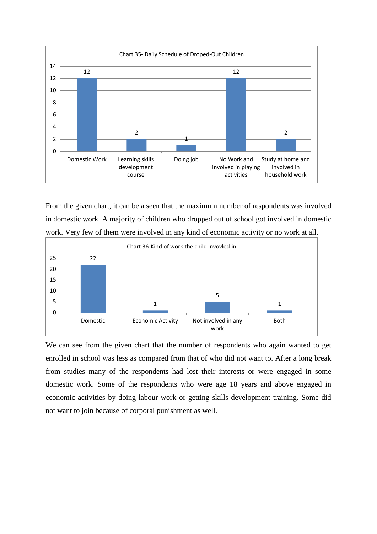

From the given chart, it can be a seen that the maximum number of respondents was involved in domestic work. A majority of children who dropped out of school got involved in domestic work. Very few of them were involved in any kind of economic activity or no work at all.



We can see from the given chart that the number of respondents who again wanted to get enrolled in school was less as compared from that of who did not want to. After a long break from studies many of the respondents had lost their interests or were engaged in some domestic work. Some of the respondents who were age 18 years and above engaged in economic activities by doing labour work or getting skills development training. Some did not want to join because of corporal punishment as well.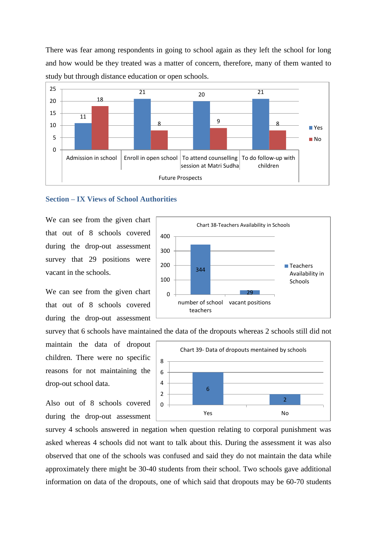There was fear among respondents in going to school again as they left the school for long and how would be they treated was a matter of concern, therefore, many of them wanted to study but through distance education or open schools.



## <span id="page-23-0"></span>**Section – IX Views of School Authorities**

We can see from the given chart that out of 8 schools covered during the drop-out assessment survey that 29 positions were vacant in the schools.

We can see from the given chart that out of 8 schools covered during the drop-out assessment



survey that 6 schools have maintained the data of the dropouts whereas 2 schools still did not

maintain the data of dropout children. There were no specific reasons for not maintaining the drop-out school data.

Also out of 8 schools covered during the drop-out assessment



survey 4 schools answered in negation when question relating to corporal punishment was asked whereas 4 schools did not want to talk about this. During the assessment it was also observed that one of the schools was confused and said they do not maintain the data while approximately there might be 30-40 students from their school. Two schools gave additional information on data of the dropouts, one of which said that dropouts may be 60-70 students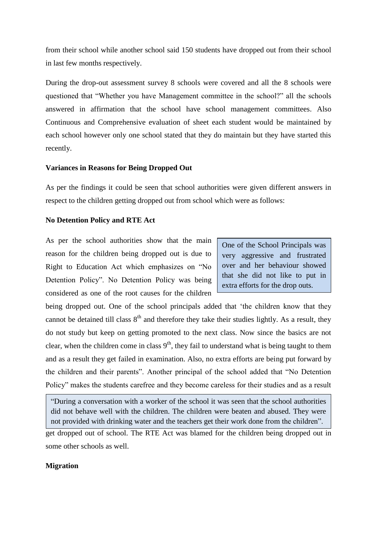from their school while another school said 150 students have dropped out from their school in last few months respectively.

During the drop-out assessment survey 8 schools were covered and all the 8 schools were questioned that "Whether you have Management committee in the school?" all the schools answered in affirmation that the school have school management committees. Also Continuous and Comprehensive evaluation of sheet each student would be maintained by each school however only one school stated that they do maintain but they have started this recently.

#### **Variances in Reasons for Being Dropped Out**

As per the findings it could be seen that school authorities were given different answers in respect to the children getting dropped out from school which were as follows:

## **No Detention Policy and RTE Act**

As per the school authorities show that the main reason for the children being dropped out is due to Right to Education Act which emphasizes on "No Detention Policy". No Detention Policy was being considered as one of the root causes for the children

One of the School Principals was very aggressive and frustrated over and her behaviour showed that she did not like to put in extra efforts for the drop outs.

being dropped out. One of the school principals added that "the children know that they cannot be detained till class  $8<sup>th</sup>$  and therefore they take their studies lightly. As a result, they do not study but keep on getting promoted to the next class. Now since the basics are not clear, when the children come in class  $9<sup>th</sup>$ , they fail to understand what is being taught to them and as a result they get failed in examination. Also, no extra efforts are being put forward by the children and their parents". Another principal of the school added that "No Detention Policy" makes the students carefree and they become careless for their studies and as a result

"During a conversation with a worker of the school it was seen that the school authorities did not behave well with the children. The children were beaten and abused. They were not provided with drinking water and the teachers get their work done from the children".

get dropped out of school. The RTE Act was blamed for the children being dropped out in some other schools as well.

#### **Migration**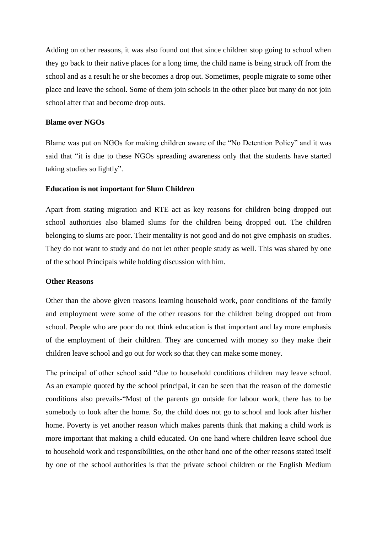Adding on other reasons, it was also found out that since children stop going to school when they go back to their native places for a long time, the child name is being struck off from the school and as a result he or she becomes a drop out. Sometimes, people migrate to some other place and leave the school. Some of them join schools in the other place but many do not join school after that and become drop outs.

## **Blame over NGOs**

Blame was put on NGOs for making children aware of the "No Detention Policy" and it was said that "it is due to these NGOs spreading awareness only that the students have started taking studies so lightly".

#### **Education is not important for Slum Children**

Apart from stating migration and RTE act as key reasons for children being dropped out school authorities also blamed slums for the children being dropped out. The children belonging to slums are poor. Their mentality is not good and do not give emphasis on studies. They do not want to study and do not let other people study as well. This was shared by one of the school Principals while holding discussion with him.

#### **Other Reasons**

Other than the above given reasons learning household work, poor conditions of the family and employment were some of the other reasons for the children being dropped out from school. People who are poor do not think education is that important and lay more emphasis of the employment of their children. They are concerned with money so they make their children leave school and go out for work so that they can make some money.

The principal of other school said "due to household conditions children may leave school. As an example quoted by the school principal, it can be seen that the reason of the domestic conditions also prevails-"Most of the parents go outside for labour work, there has to be somebody to look after the home. So, the child does not go to school and look after his/her home. Poverty is yet another reason which makes parents think that making a child work is more important that making a child educated. On one hand where children leave school due to household work and responsibilities, on the other hand one of the other reasons stated itself by one of the school authorities is that the private school children or the English Medium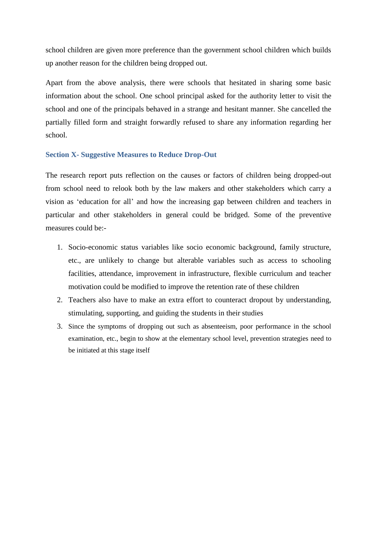school children are given more preference than the government school children which builds up another reason for the children being dropped out.

Apart from the above analysis, there were schools that hesitated in sharing some basic information about the school. One school principal asked for the authority letter to visit the school and one of the principals behaved in a strange and hesitant manner. She cancelled the partially filled form and straight forwardly refused to share any information regarding her school.

#### <span id="page-26-0"></span>**Section X- Suggestive Measures to Reduce Drop-Out**

The research report puts reflection on the causes or factors of children being dropped-out from school need to relook both by the law makers and other stakeholders which carry a vision as "education for all" and how the increasing gap between children and teachers in particular and other stakeholders in general could be bridged. Some of the preventive measures could be:-

- 1. Socio-economic status variables like socio economic background, family structure, etc., are unlikely to change but alterable variables such as access to schooling facilities, attendance, improvement in infrastructure, flexible curriculum and teacher motivation could be modified to improve the retention rate of these children
- 2. Teachers also have to make an extra effort to counteract dropout by understanding, stimulating, supporting, and guiding the students in their studies
- 3. Since the symptoms of dropping out such as absenteeism, poor performance in the school examination, etc., begin to show at the elementary school level, prevention strategies need to be initiated at this stage itself